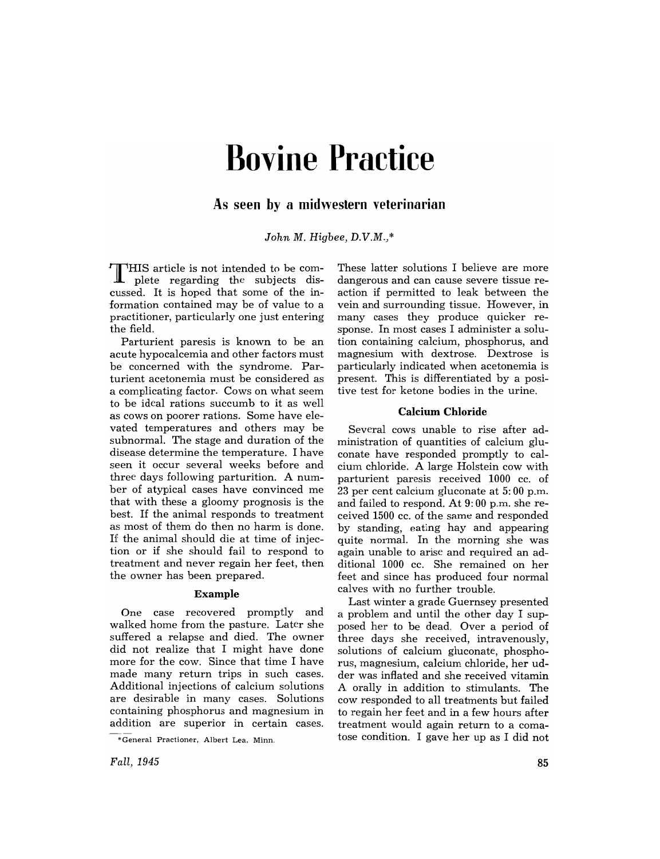# **Bovine Practice**

# **As seen by a midwestern veterinarian**

*John M. Higbee, D.V.M.,\** 

T HIS article is not intended to be com-plete regarding the subjects discussed. It is hoped that some of the information contained may be of value to a practitioner, particularly one just entering the field.

Parturient paresis is known to be an acute hypocalcemia and other factors must be concerned with the syndrome. Parturient acetonemia must be considered as a complicating factor. Cows on what seem to be ideal rations succumb to it as well as cows on poorer rations. Some have elevated temperatures and others may be subnormal. The stage and duration of the disease determine the temperature. I have seen it occur several weeks before and three days following parturition. A number of atypical cases have convinced me that with these a gloomy prognosis is the best. If the animal responds to treatment as most of them do then no harm is done. If the animal should die at time of injection or if she should fail to respond to treatment and never regain her feet, then the owner has been prepared.

#### Example

One case recovered promptly and walked home from the pasture. Later she suffered a relapse and died. The owner did not realize that I might have done more for the cow. Since that time I have made many return trips in such cases. Additional injections of calcium solutions are desirable in many cases. Solutions containing phosphorus and magnesium in addition are superior in certain cases.

These latter solutions I believe are more dangerous and can cause severe tissue reaction if permitted to leak between the vein and surrounding tissue. However, in many cases they produce quicker response. In most cases I administer a solution containing calcium, phosphorus, and magnesium with dextrose. Dextrose is particularly indicated when acetonemia is present. This is differentiated by a positive test for ketone bodies in the urine.

#### **Calcium Chloride**

Several cows unable to rise after administration of quantities of calcium glucon ate have responded promptly to calcium chloride. A large Holstein cow with parturient paresis received 1000 cc. of 23 per cent calcium gluconate at 5: 00 p.m. and failed to respond. At 9: 00 p.m. she received 1500 cc. of the same and responded by standing, eating hay and appearing quite normal. In the morning she was again unable to arise and required an additional 1000 cc. She remained on her feet and since has produced four normal calves with no further trouble.

Last winter a grade Guernsey presented a problem and until the other day I supposed her to be dead. Over a period of three days she received, intravenously, solutions of calcium gluconate, phosphorus, magnesium, calcium chloride, her udder was inflated and she received vitamin A orally in addition to stimulants. The cow responded to all treatments but failed to regain her feet and in a few hours after treatment would again return to a comatose condition. I gave her up as I did not

<sup>&</sup>quot;General Practioner. Albert Lea. Minn.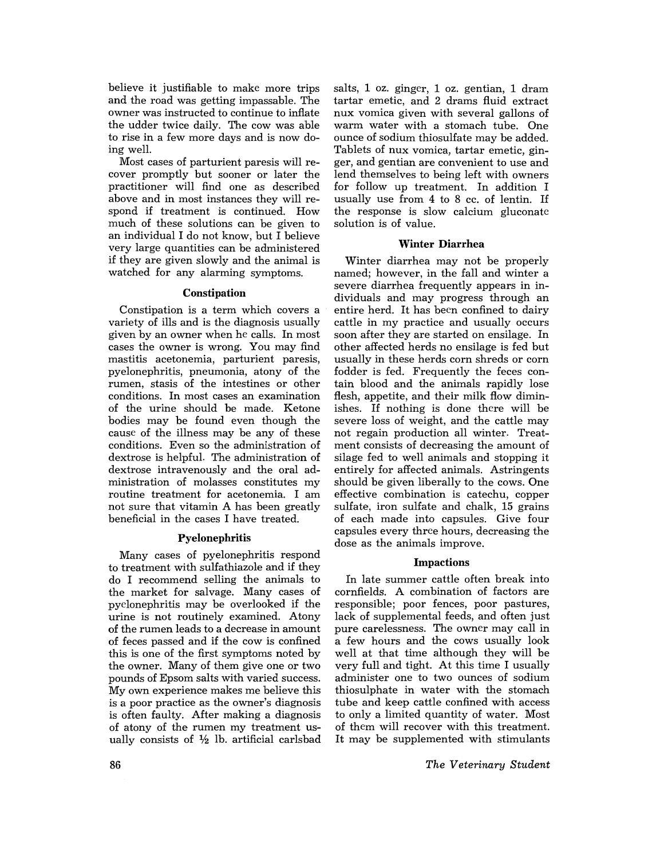believe it justifiable to make more trips and the road was getting impassable. The owner was instructed to continue to inflate the udder twice daily. The cow was able to rise in a few more days and is now doing well.

Most cases of parturient paresis will recover promptly but sooner or later the practitioner will find one as described above and in most instances they will respond if treatment is continued. How much of these solutions can be given to an individual I do not know, but I believe very large quantities can be administered if they are given slowly and the animal is watched for any alarming symptoms.

#### Constipation

Constipation is a term which covers a variety of ills and is the diagnosis usually given by an owner when he calls. In most cases the owner is wrong. You may find mastitis acetonemia, parturient paresis, pyelonephritis, pneumonia, atony of the rumen, stasis of the intestines or other conditions. In most cases an examination of the urine should be made. Ketone bodies may be found even though the cause of the illness may be any of these conditions. Even so the administration of dextrose is helpful. The administration of dextrose intravenously and the oral administration of molasses constitutes my routine treatment for acetonemia. I am not sure that vitamin A has been greatly beneficial in the cases I have treated.

## Pyelonephritis

Many cases of pyelonephritis respond to treatment with sulfathiazole and if they do I recommend selling the animals to the market for salvage. Many cases of pyelonephritis may be overlooked if the urine is not routinely examined. Atony of the rumen leads to a decrease in amount of feces passed and if the cow is confined this is one of the first symptoms noted by the owner. Many of them give one or two pounds of Epsom salts with varied success. My own experience makes me believe this is a poor practice as the owner's diagnosis is often faulty. After making a diagnosis of atony of the rumen my treatment usually consists of  $\frac{1}{2}$  lb. artificial carlsbad

salts, 1 oz. ginger, 1 oz. gentian, 1 dram tartar emetic, and 2 drams fluid extract nux vomica given with several gallons of warm water with a stomach tube. One ounce of sodium thiosulfate may be added. Tablets of nux vomica, tartar emetic, ginger, and gentian are convenient to use and lend themselves to being left with owners for follow up treatment. In addition I usually use from 4 to 8 cc. of lentin. If the response is slow calcium gluconate solution is of value.

## Winter Diarrhea

Winter diarrhea may not be properly named; however, in the fall and winter a severe diarrhea frequently appears in individuals and may progress through an entire herd. It has been confined to dairy cattle in my practice and usually occurs soon after they are started on ensilage. In other affected herds no ensilage is fed but usually in these herds corn shreds or corn fodder is fed. Frequently the feces contain blood and the animals rapidly lose flesh, appetite, and their milk flow diminishes. If nothing is done there will be severe loss of weight, and the cattle may not regain production all winter. Treatment consists of decreasing the amount of silage fed to well animals and stopping it entirely for affected animals. Astringents should be given liberally to the cows. One effective combination is catechu, copper sulfate, iron sulfate and chalk, 15 grains of each made into capsules. Give four capsules every three hours, decreasing the dose as the animals improve.

#### Impactions

In late summer cattle often break into cornfields. A combination of factors are responsible; poor fences, poor pastures, lack of supplemental feeds, and often just pure carelessness. The owner may call in a few hours and the cows usually look well at that time although they will be very full and tight. At this time I usually administer one to two ounces of sodium thiosulphate in water with the stomach tube and keep cattle confined with access to only a limited quantity of water. Most of them will recover with this treatment. It may be supplemented with stimulants